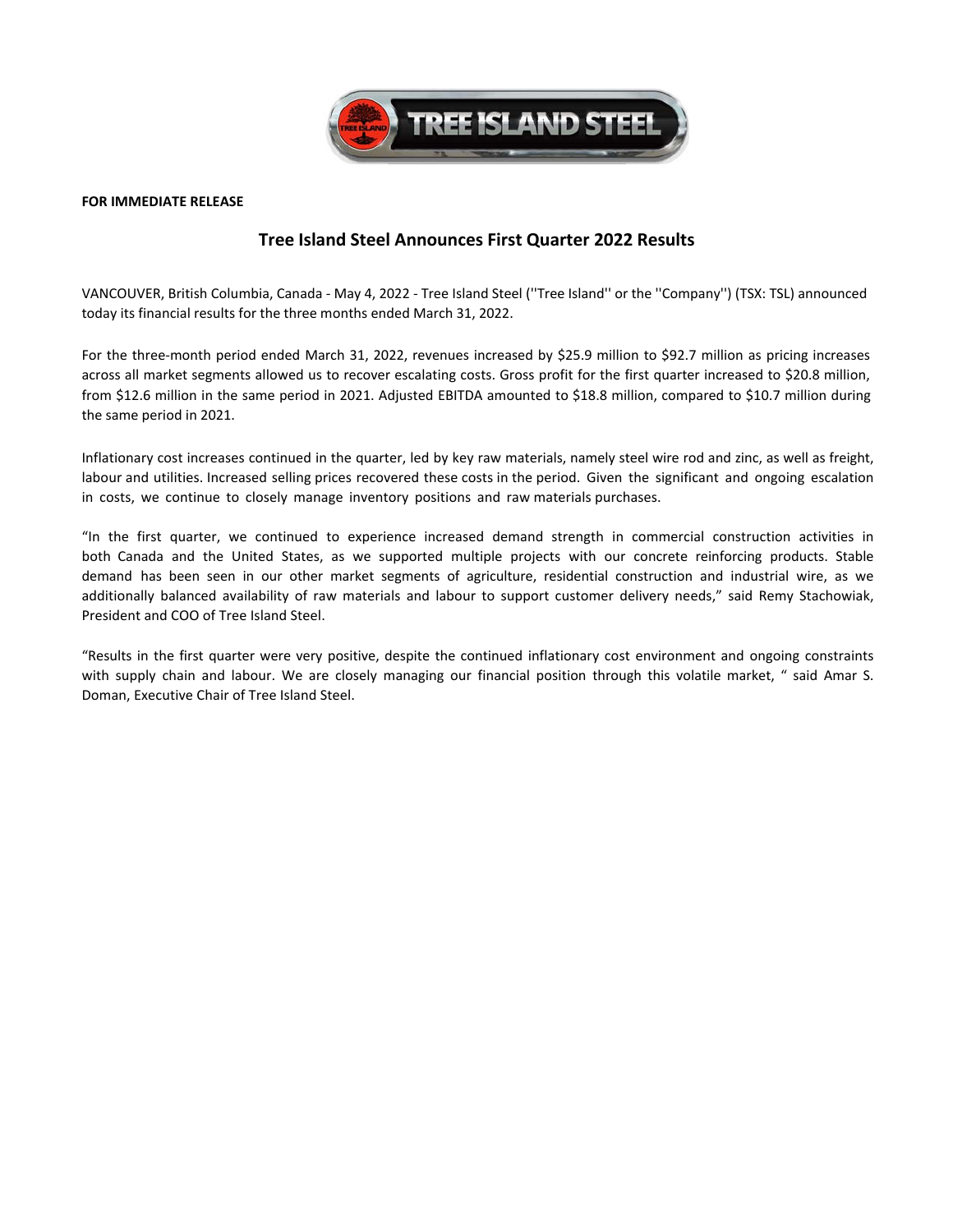

### **FOR IMMEDIATE RELEASE**

# **Tree Island Steel Announces First Quarter 2022 Results**

VANCOUVER, British Columbia, Canada ‐ May 4, 2022 ‐ Tree Island Steel (''Tree Island'' or the ''Company'') (TSX: TSL) announced today its financial results for the three months ended March 31, 2022.

For the three-month period ended March 31, 2022, revenues increased by \$25.9 million to \$92.7 million as pricing increases across all market segments allowed us to recover escalating costs. Gross profit for the first quarter increased to \$20.8 million, from \$12.6 million in the same period in 2021. Adjusted EBITDA amounted to \$18.8 million, compared to \$10.7 million during the same period in 2021.

Inflationary cost increases continued in the quarter, led by key raw materials, namely steel wire rod and zinc, as well as freight, labour and utilities. Increased selling prices recovered these costs in the period. Given the significant and ongoing escalation in costs, we continue to closely manage inventory positions and raw materials purchases.

"In the first quarter, we continued to experience increased demand strength in commercial construction activities in both Canada and the United States, as we supported multiple projects with our concrete reinforcing products. Stable demand has been seen in our other market segments of agriculture, residential construction and industrial wire, as we additionally balanced availability of raw materials and labour to support customer delivery needs," said Remy Stachowiak, President and COO of Tree Island Steel.

"Results in the first quarter were very positive, despite the continued inflationary cost environment and ongoing constraints with supply chain and labour. We are closely managing our financial position through this volatile market, " said Amar S. Doman, Executive Chair of Tree Island Steel.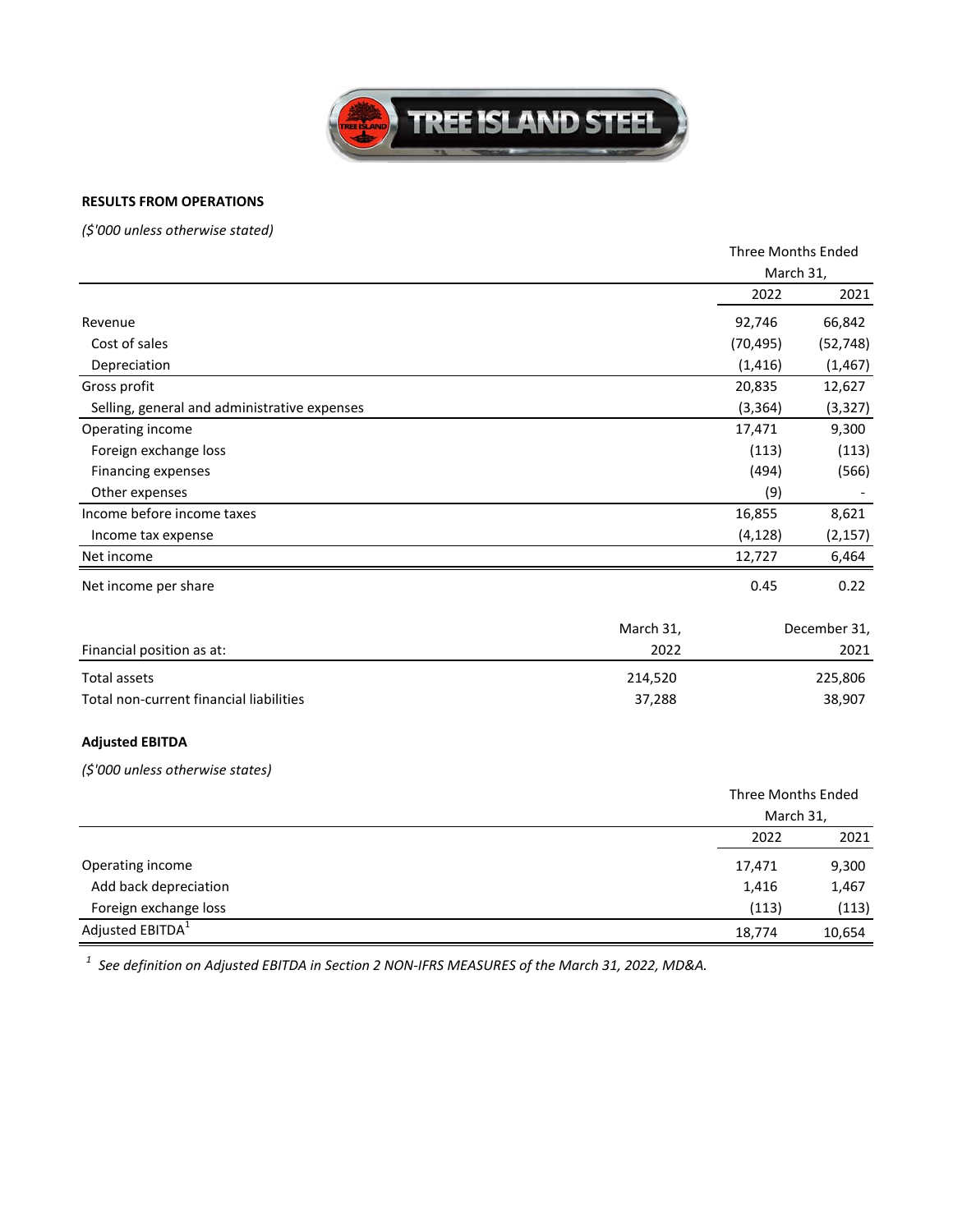

## **RESULTS FROM OPERATIONS**

*(\$'000 unless otherwise stated)*

|                                              |           | Three Months Ended<br>March 31,        |              |
|----------------------------------------------|-----------|----------------------------------------|--------------|
|                                              |           |                                        |              |
|                                              |           | 2022                                   | 2021         |
| Revenue                                      |           | 92,746                                 | 66,842       |
| Cost of sales                                |           | (70, 495)                              | (52, 748)    |
| Depreciation                                 |           | (1, 416)                               | (1, 467)     |
| Gross profit                                 |           | 20,835                                 | 12,627       |
| Selling, general and administrative expenses |           | (3, 364)                               | (3, 327)     |
| Operating income                             |           | 17,471                                 | 9,300        |
| Foreign exchange loss                        |           | (113)                                  | (113)        |
| Financing expenses                           |           | (494)                                  | (566)        |
| Other expenses                               |           | (9)                                    |              |
| Income before income taxes                   |           | 16,855                                 | 8,621        |
| Income tax expense                           |           | (4, 128)                               | (2, 157)     |
| Net income                                   |           | 12,727                                 | 6,464        |
| Net income per share                         |           | 0.45                                   | 0.22         |
|                                              | March 31, |                                        | December 31, |
| Financial position as at:                    | 2022      |                                        | 2021         |
| <b>Total assets</b>                          | 214,520   |                                        | 225,806      |
| Total non-current financial liabilities      | 37,288    |                                        | 38,907       |
| <b>Adjusted EBITDA</b>                       |           |                                        |              |
| (\$'000 unless otherwise states)             |           |                                        |              |
|                                              |           | <b>Three Months Ended</b><br>March 31, |              |
|                                              |           | 2022                                   | 2021         |
| Operating income                             |           | 17,471                                 | 9,300        |
| Add back depreciation                        |           | 1,416                                  | 1,467        |
| Foreign exchange loss                        |           | (113)                                  | (113)        |

10,654 18,774 10,654 18,774

Adjusted EBITDA<sup>1</sup>

*<sup>1</sup> See definition on Adjusted EBITDA in Section 2 NON‐IFRS MEASURES of the March 31, 2022, MD&A.*